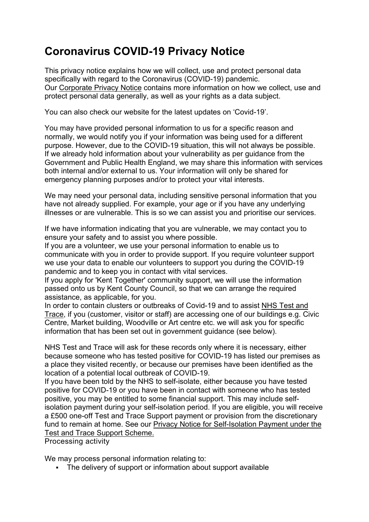# **Coronavirus COVID-19 Privacy Notice**

This privacy notice explains how we will collect, use and protect personal data specifically with regard to the Coronavirus (COVID-19) pandemic. Our [Corporate Privacy Notice](https://pre.gravesham.gov.uk/website-information/privacy) contains more information on how we collect, use and protect personal data generally, as well as your rights as a data subject.

You can also check our website for the latest updates on 'Covid-19'.

You may have provided personal information to us for a specific reason and normally, we would notify you if your information was being used for a different purpose. However, due to the COVID-19 situation, this will not always be possible. If we already hold information about your vulnerability as per guidance from the Government and Public Health England, we may share this information with services both internal and/or external to us. Your information will only be shared for emergency planning purposes and/or to protect your vital interests.

We may need your personal data, including sensitive personal information that you have not already supplied. For example, your age or if you have any underlying illnesses or are vulnerable. This is so we can assist you and prioritise our services.

If we have information indicating that you are vulnerable, we may contact you to ensure your safety and to assist you where possible.

If you are a volunteer, we use your personal information to enable us to communicate with you in order to provide support. If you require volunteer support we use your data to enable our volunteers to support you during the COVID-19 pandemic and to keep you in contact with vital services.

If you apply for 'Kent Together' community support, we will use the information passed onto us by Kent County Council, so that we can arrange the required assistance, as applicable, for you.

In order to contain clusters or outbreaks of Covid-19 and to assist [NHS Test and](https://www.gov.uk/guidance/maintaining-records-of-staff-customers-and-visitors-to-support-nhs-test-and-trace#information-to-collect)  [Trace,](https://www.gov.uk/guidance/maintaining-records-of-staff-customers-and-visitors-to-support-nhs-test-and-trace#information-to-collect) if you (customer, visitor or staff) are accessing one of our buildings e.g. Civic Centre, Market building, Woodville or Art centre etc. we will ask you for specific information that has been set out in government guidance (see below).

NHS Test and Trace will ask for these records only where it is necessary, either because someone who has tested positive for COVID-19 has listed our premises as a place they visited recently, or because our premises have been identified as the location of a potential local outbreak of COVID-19.

If you have been told by the NHS to self-isolate, either because you have tested positive for COVID-19 or you have been in contact with someone who has tested positive, you may be entitled to some financial support. This may include selfisolation payment during your self-isolation period. If you are eligible, you will receive a £500 one-off Test and Trace Support payment or provision from the discretionary fund to remain at home. See our [Privacy Notice for Self-Isolation Payment under the](https://pre.gravesham.gov.uk/downloads/file/285/self-isolation-payment)  [Test and Trace Support Scheme.](https://pre.gravesham.gov.uk/downloads/file/285/self-isolation-payment)

Processing activity

We may process personal information relating to:

The delivery of support or information about support available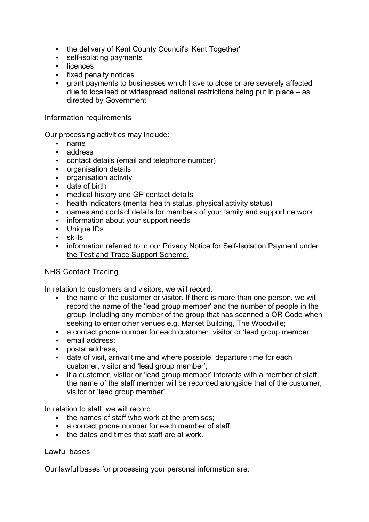- the delivery of Kent County Council's ['Kent Together'](https://www.kent.gov.uk/social-care-and-health/health/protect-kent-and-medway/help-and-advice-for-residents/kent-together)
- **self-isolating payments**
- **-** licences
- **fixed penalty notices**
- grant payments to businesses which have to close or are severely affected due to localised or widespread national restrictions being put in place – as directed by Government

Information requirements

Our processing activities may include:

- name
- address
- contact details (email and telephone number)
- **•** organisation details
- organisation activity
- **date of birth**
- medical history and GP contact details
- health indicators (mental health status, physical activity status)
- names and contact details for members of your family and support network
- **information about your support needs**
- Unique IDs
- skills
- **EXED information referred to in our Privacy Notice for Self-Isolation Payment under** [the Test and Trace Support Scheme.](https://pre.gravesham.gov.uk/downloads/file/285/self-isolation-payment)

## NHS Contact Tracing

In relation to customers and visitors, we will record:

- the name of the customer or visitor. If there is more than one person, we will record the name of the 'lead group member' and the number of people in the group, including any member of the group that has scanned a QR Code when seeking to enter other venues e.g. Market Building, The Woodville;
- a contact phone number for each customer, visitor or 'lead group member';
- **email address:**
- postal address:
- date of visit, arrival time and where possible, departure time for each customer, visitor and 'lead group member';
- if a customer, visitor or 'lead group member' interacts with a member of staff, the name of the staff member will be recorded alongside that of the customer, visitor or 'lead group member'.

In relation to staff, we will record:

- the names of staff who work at the premises:
- a contact phone number for each member of staff;
- the dates and times that staff are at work.

#### Lawful bases

Our lawful bases for processing your personal information are: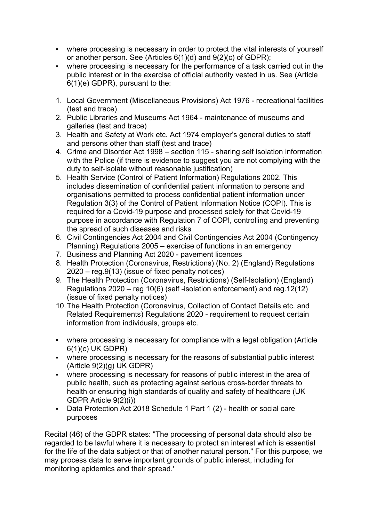- where processing is necessary in order to protect the vital interests of yourself or another person. See (Articles 6(1)(d) and 9(2)(c) of GDPR);
- where processing is necessary for the performance of a task carried out in the public interest or in the exercise of official authority vested in us. See (Article 6(1)(e) GDPR), pursuant to the:
- 1. Local Government (Miscellaneous Provisions) Act 1976 recreational facilities (test and trace)
- 2. Public Libraries and Museums Act 1964 maintenance of museums and galleries (test and trace)
- 3. Health and Safety at Work etc. Act 1974 employer's general duties to staff and persons other than staff (test and trace)
- 4. Crime and Disorder Act 1998 section 115 sharing self isolation information with the Police (if there is evidence to suggest you are not complying with the duty to self-isolate without reasonable justification)
- 5. Health Service (Control of Patient Information) Regulations 2002. This includes dissemination of confidential patient information to persons and organisations permitted to process confidential patient information under Regulation 3(3) of the Control of Patient Information Notice (COPI). This is required for a Covid-19 purpose and processed solely for that Covid-19 purpose in accordance with Regulation 7 of COPI, controlling and preventing the spread of such diseases and risks
- 6. Civil Contingencies Act 2004 and Civil Contingencies Act 2004 (Contingency Planning) Regulations 2005 – exercise of functions in an emergency
- 7. Business and Planning Act 2020 pavement licences
- 8. Health Protection (Coronavirus, Restrictions) (No. 2) (England) Regulations 2020 – reg.9(13) (issue of fixed penalty notices)
- 9. The Health Protection (Coronavirus, Restrictions) (Self-Isolation) (England) Regulations 2020 – reg 10(6) (self -isolation enforcement) and reg.12(12) (issue of fixed penalty notices)
- 10.The Health Protection (Coronavirus, Collection of Contact Details etc. and Related Requirements) Regulations 2020 - requirement to request certain information from individuals, groups etc.
- where processing is necessary for compliance with a legal obligation (Article 6(1)(c) UK GDPR)
- where processing is necessary for the reasons of substantial public interest (Article 9(2)(g) UK GDPR)
- where processing is necessary for reasons of public interest in the area of public health, such as protecting against serious cross-border threats to health or ensuring high standards of quality and safety of healthcare (UK GDPR Article 9(2)(i))
- Data Protection Act 2018 Schedule 1 Part 1 (2) health or social care purposes

Recital (46) of the GDPR states: "The processing of personal data should also be regarded to be lawful where it is necessary to protect an interest which is essential for the life of the data subject or that of another natural person." For this purpose, we may process data to serve important grounds of public interest, including for monitoring epidemics and their spread.'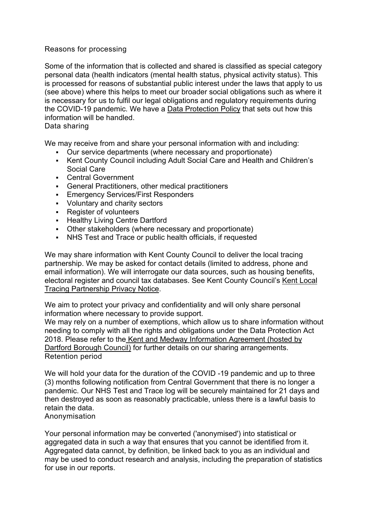# Reasons for processing

Some of the information that is collected and shared is classified as special category personal data (health indicators (mental health status, physical activity status). This is processed for reasons of substantial public interest under the laws that apply to us (see above) where this helps to meet our broader social obligations such as where it is necessary for us to fulfil our legal obligations and regulatory requirements during the COVID-19 pandemic. We have a Data Protection Policy that sets out how this information will be handled.

Data sharing

We may receive from and share your personal information with and including:

- Our service departments (where necessary and proportionate)
- Kent County Council including Adult Social Care and Health and Children's Social Care
- Central Government
- General Practitioners, other medical practitioners
- **Emergency Services/First Responders**
- **Voluntary and charity sectors**
- **Register of volunteers**
- Healthy Living Centre Dartford
- Other stakeholders (where necessary and proportionate)
- NHS Test and Trace or public health officials, if requested

We may share information with Kent County Council to deliver the local tracing partnership. We may be asked for contact details (limited to address, phone and email information). We will interrogate our data sources, such as housing benefits, electoral register and council tax databases. See Kent County Council's Kent Local Tracing Partnership Privacy Notice.

We aim to protect your privacy and confidentiality and will only share personal information where necessary to provide support.

We may rely on a number of exemptions, which allow us to share information without needing to comply with all the rights and obligations under the Data Protection Act 2018. Please refer to the Kent and Medway Information Agreement (hosted by Dartford Borough Council) for further details on our sharing arrangements. Retention period

We will hold your data for the duration of the COVID -19 pandemic and up to three (3) months following notification from Central Government that there is no longer a pandemic. Our NHS Test and Trace log will be securely maintained for 21 days and then destroyed as soon as reasonably practicable, unless there is a lawful basis to retain the data.

## Anonymisation

Your personal information may be converted ('anonymised') into statistical or aggregated data in such a way that ensures that you cannot be identified from it. Aggregated data cannot, by definition, be linked back to you as an individual and may be used to conduct research and analysis, including the preparation of statistics for use in our reports.